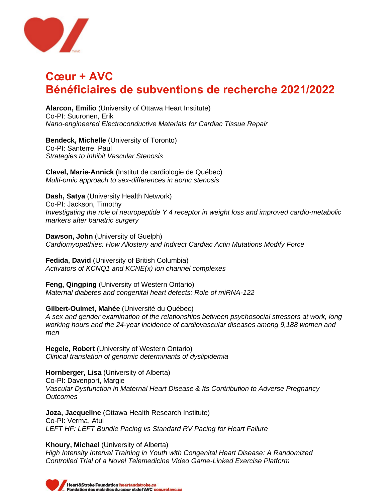

## **Cœur + AVC Bénéficiaires de subventions de recherche 2021/2022**

**Alarcon, Emilio** (University of Ottawa Heart Institute) Co-PI: Suuronen, Erik *Nano-engineered Electroconductive Materials for Cardiac Tissue Repair*

**Bendeck, Michelle** (University of Toronto) Co-PI: Santerre, Paul *Strategies to Inhibit Vascular Stenosis*

**Clavel, Marie-Annick** (Institut de cardiologie de Québec) *Multi-omic approach to sex-differences in aortic stenosis*

**Dash, Satya** (University Health Network) Co-PI: Jackson, Timothy *Investigating the role of neuropeptide Y 4 receptor in weight loss and improved cardio-metabolic markers after bariatric surgery*

**Dawson, John** (University of Guelph) *Cardiomyopathies: How Allostery and Indirect Cardiac Actin Mutations Modify Force*

**Fedida, David** (University of British Columbia) *Activators of KCNQ1 and KCNE(x) ion channel complexes*

**Feng, Qingping** (University of Western Ontario) *Maternal diabetes and congenital heart defects: Role of miRNA-122*

**Gilbert-Ouimet, Mahée** (Université du Québec) *A sex and gender examination of the relationships between psychosocial stressors at work, long working hours and the 24-year incidence of cardiovascular diseases among 9,188 women and men*

**Hegele, Robert** (University of Western Ontario) *Clinical translation of genomic determinants of dyslipidemia*

**Hornberger, Lisa** (University of Alberta) Co-PI: Davenport, Margie *Vascular Dysfunction in Maternal Heart Disease & Its Contribution to Adverse Pregnancy Outcomes*

**Joza, Jacqueline** (Ottawa Health Research Institute) Co-PI: Verma, Atul *LEFT HF: LEFT Bundle Pacing vs Standard RV Pacing for Heart Failure*

**Khoury, Michael** (University of Alberta) *High Intensity Interval Training in Youth with Congenital Heart Disease: A Randomized Controlled Trial of a Novel Telemedicine Video Game-Linked Exercise Platform*